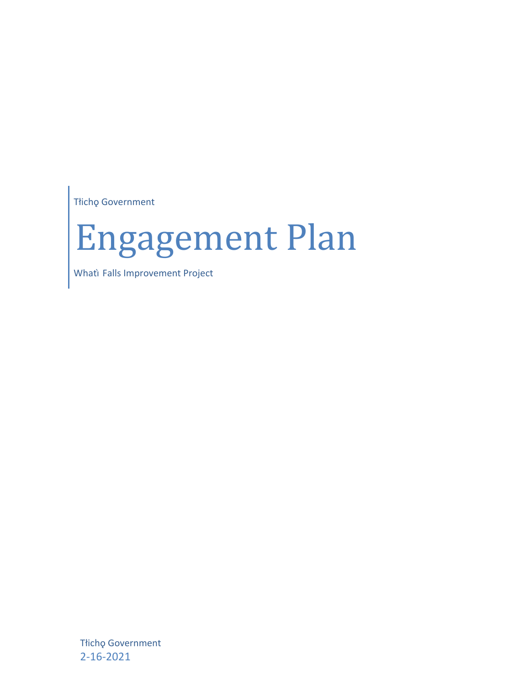Tłichǫ Government

# Engagement Plan

Whati Falls Improvement Project

Tłichǫ Government 2-16-2021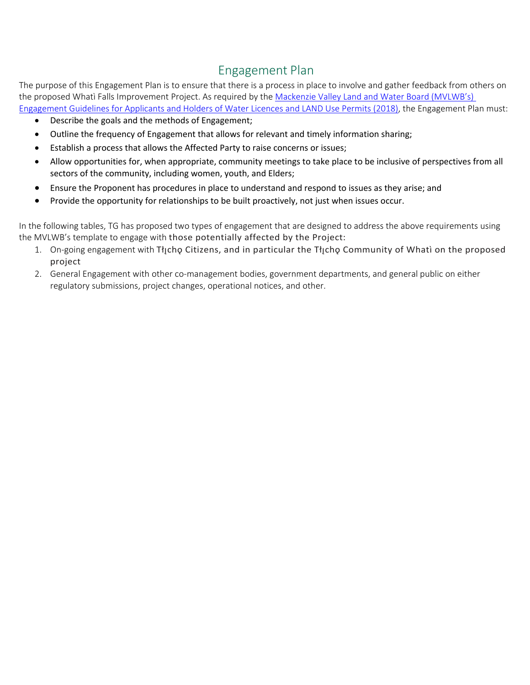### Engagement Plan

The purpose of this Engagement Plan is to ensure that there is a process in place to involve and gather feedback from others on the proposed Whatì Falls Improvement Project. As required by the [Mackenzie Valley Land and Water Board \(MVLWB's\)](https://mvlwb.com/sites/default/files/mvlwb_engagement_guidelines_for_holders_of_lups_and_wls_-_october_2_19.pdf)  [Engagement Guidelines for Applicants and Holders of Water Licences and LAND Use Permits \(2018\),](https://mvlwb.com/sites/default/files/mvlwb_engagement_guidelines_for_holders_of_lups_and_wls_-_october_2_19.pdf) the Engagement Plan must:

- Describe the goals and the methods of Engagement;
- Outline the frequency of Engagement that allows for relevant and timely information sharing;
- Establish a process that allows the Affected Party to raise concerns or issues;
- Allow opportunities for, when appropriate, community meetings to take place to be inclusive of perspectives from all sectors of the community, including women, youth, and Elders;
- Ensure the Proponent has procedures in place to understand and respond to issues as they arise; and
- Provide the opportunity for relationships to be built proactively, not just when issues occur.

In the following tables, TG has proposed two types of engagement that are designed to address the above requirements using the MVLWB's template to engage with those potentially affected by the Project:

- 1. On-going engagement with Tłicho Citizens, and in particular the Tłicho Community of Whatì on the proposed project
- 2. General Engagement with other co-management bodies, government departments, and general public on either regulatory submissions, project changes, operational notices, and other.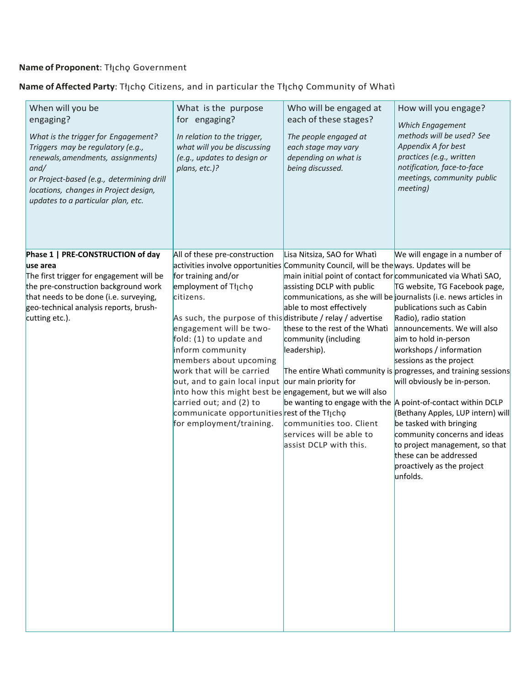#### **Name of Proponent**: Tłıch̨ ǫ Government

#### **Name of Affected Party**: Tłıch̨ ǫ Citizens, and in particular the Tłıch̨ ǫ Community of Whatì

| When will you be<br>engaging?<br>What is the trigger for Engagement?<br>Triggers may be regulatory (e.g.,<br>renewals, amendments, assignments)<br>and/<br>or Project-based (e.g., determining drill<br>locations, changes in Project design,<br>updates to a particular plan, etc. | What is the purpose<br>for engaging?<br>In relation to the trigger,<br>what will you be discussing<br>(e.g., updates to design or<br>plans, etc.)?                                                                                                                                                                                                                                                                                                                                                                                                                                                            | Who will be engaged at<br>each of these stages?<br>The people engaged at<br>each stage may vary<br>depending on what is<br>being discussed.                                                                                                                                                                                                                                                                                                            | How will you engage?<br>Which Engagement<br>methods will be used? See<br>Appendix A for best<br>practices (e.g., written<br>notification, face-to-face<br>meetings, community public<br>meeting)                                                                                                                                                                                                                                                                                                                                             |
|-------------------------------------------------------------------------------------------------------------------------------------------------------------------------------------------------------------------------------------------------------------------------------------|---------------------------------------------------------------------------------------------------------------------------------------------------------------------------------------------------------------------------------------------------------------------------------------------------------------------------------------------------------------------------------------------------------------------------------------------------------------------------------------------------------------------------------------------------------------------------------------------------------------|--------------------------------------------------------------------------------------------------------------------------------------------------------------------------------------------------------------------------------------------------------------------------------------------------------------------------------------------------------------------------------------------------------------------------------------------------------|----------------------------------------------------------------------------------------------------------------------------------------------------------------------------------------------------------------------------------------------------------------------------------------------------------------------------------------------------------------------------------------------------------------------------------------------------------------------------------------------------------------------------------------------|
| Phase 1   PRE-CONSTRUCTION of day<br>use area<br>The first trigger for engagement will be<br>the pre-construction background work<br>that needs to be done (i.e. surveying,<br>geo-technical analysis reports, brush-<br>cutting etc.).                                             | All of these pre-construction<br>activities involve opportunities Community Council, will be the ways. Updates will be<br>for training and/or<br>employment of Tłjcho<br>citizens.<br>As such, the purpose of this distribute / relay / advertise<br>engagement will be two-<br>fold: $(1)$ to update and<br>inform community<br>members about upcoming<br>work that will be carried<br>out, and to gain local input our main priority for<br>into how this might best be engagement, but we will also<br>carried out; and (2) to<br>communicate opportunities rest of the Tłįcho<br>for employment/training. | Lisa Nitsiza, SAO for Whati<br>main initial point of contact for communicated via Whati SAO,<br>assisting DCLP with public<br>communications, as she will be journalists (i.e. news articles in<br>able to most effectively<br>these to the rest of the Whati<br>community (including<br>leadership).<br>be wanting to engage with the A point-of-contact within DCLP<br>communities too. Client<br>services will be able to<br>assist DCLP with this. | We will engage in a number of<br>TG website, TG Facebook page,<br>publications such as Cabin<br>Radio), radio station<br>announcements. We will also<br>aim to hold in-person<br>workshops / information<br>sessions as the project<br>The entire Whati community is progresses, and training sessions<br>will obviously be in-person.<br>(Bethany Apples, LUP intern) will<br>be tasked with bringing<br>community concerns and ideas<br>to project management, so that<br>these can be addressed<br>proactively as the project<br>unfolds. |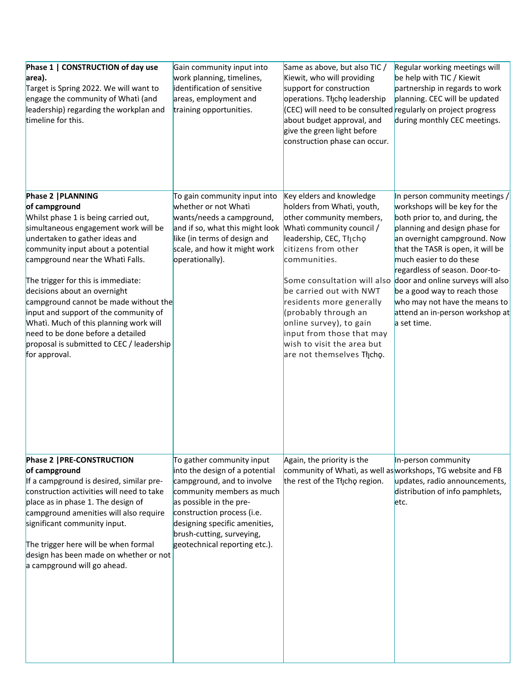| Phase 1   CONSTRUCTION of day use<br>area).<br>Target is Spring 2022. We will want to<br>engage the community of Whati (and<br>leadership) regarding the workplan and<br>timeline for this.                                                                                                                                                                                                                                                                                                                                         | Gain community input into<br>work planning, timelines,<br>identification of sensitive<br>areas, employment and<br>training opportunities.                                                                                                                                      | Same as above, but also TIC /<br>Kiewit, who will providing<br>support for construction<br>operations. Thcho leadership<br>(CEC) will need to be consulted regularly on project progress<br>about budget approval, and<br>give the green light before<br>construction phase can occur.                                                                                               | Regular working meetings will<br>be help with TIC / Kiewit<br>partnership in regards to work<br>planning. CEC will be updated<br>during monthly CEC meetings.                                                                                                                                                                                                                                                                                            |
|-------------------------------------------------------------------------------------------------------------------------------------------------------------------------------------------------------------------------------------------------------------------------------------------------------------------------------------------------------------------------------------------------------------------------------------------------------------------------------------------------------------------------------------|--------------------------------------------------------------------------------------------------------------------------------------------------------------------------------------------------------------------------------------------------------------------------------|--------------------------------------------------------------------------------------------------------------------------------------------------------------------------------------------------------------------------------------------------------------------------------------------------------------------------------------------------------------------------------------|----------------------------------------------------------------------------------------------------------------------------------------------------------------------------------------------------------------------------------------------------------------------------------------------------------------------------------------------------------------------------------------------------------------------------------------------------------|
| Phase 2   PLANNING<br>of campground<br>Whilst phase 1 is being carried out,<br>simultaneous engagement work will be<br>undertaken to gather ideas and<br>community input about a potential<br>campground near the Whati Falls.<br>The trigger for this is immediate:<br>decisions about an overnight<br>campground cannot be made without the<br>input and support of the community of<br>Whatì. Much of this planning work will<br>need to be done before a detailed<br>proposal is submitted to CEC / leadership<br>for approval. | To gain community input into<br>whether or not Whati<br>wants/needs a campground,<br>and if so, what this might look<br>like (in terms of design and<br>scale, and how it might work<br>operationally).                                                                        | Key elders and knowledge<br>holders from Whati, youth,<br>other community members,<br>Whati community council /<br>leadership, CEC, Tłįchę<br>citizens from other<br>communities.<br>be carried out with NWT<br>residents more generally<br>(probably through an<br>online survey), to gain<br>input from those that may<br>wish to visit the area but<br>are not themselves Thicho. | In person community meetings /<br>workshops will be key for the<br>both prior to, and during, the<br>planning and design phase for<br>an overnight campground. Now<br>that the TASR is open, it will be<br>much easier to do these<br>regardless of season. Door-to-<br>Some consultation will also door and online surveys will also<br>be a good way to reach those<br>who may not have the means to<br>attend an in-person workshop at<br>a set time. |
| Phase 2   PRE-CONSTRUCTION<br>of campground<br>If a campground is desired, similar pre-<br>construction activities will need to take<br>place as in phase 1. The design of<br>campground amenities will also require<br>significant community input.<br>The trigger here will be when formal<br>design has been made on whether or not<br>a campground will go ahead.                                                                                                                                                               | To gather community input<br>into the design of a potential<br>campground, and to involve<br>community members as much<br>as possible in the pre-<br>construction process (i.e.<br>designing specific amenities,<br>brush-cutting, surveying,<br>geotechnical reporting etc.). | Again, the priority is the<br>community of Whati, as well as workshops, TG website and FB<br>the rest of the Tłįcho region.                                                                                                                                                                                                                                                          | In-person community<br>updates, radio announcements,<br>distribution of info pamphlets,<br>etc.                                                                                                                                                                                                                                                                                                                                                          |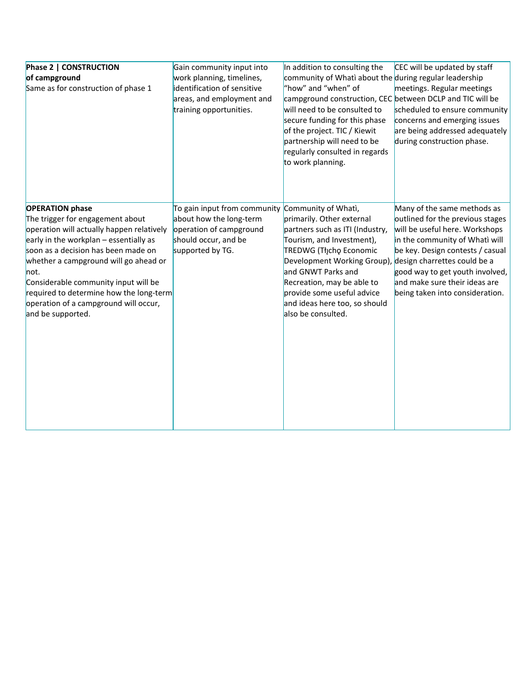| Phase 2   CONSTRUCTION<br>of campground<br>Same as for construction of phase 1                                                                                                                                                                                                                                                                                                               | Gain community input into<br>work planning, timelines,<br>identification of sensitive<br>areas, and employment and<br>training opportunities.      | In addition to consulting the<br>community of Whati about the during regular leadership<br>"how" and "when" of<br>campground construction, CEC between DCLP and TIC will be<br>will need to be consulted to<br>secure funding for this phase<br>of the project. TIC / Kiewit<br>partnership will need to be<br>regularly consulted in regards<br>to work planning. | CEC will be updated by staff<br>meetings. Regular meetings<br>scheduled to ensure community<br>concerns and emerging issues<br>are being addressed adequately<br>during construction phase.                                                                                                                    |
|----------------------------------------------------------------------------------------------------------------------------------------------------------------------------------------------------------------------------------------------------------------------------------------------------------------------------------------------------------------------------------------------|----------------------------------------------------------------------------------------------------------------------------------------------------|--------------------------------------------------------------------------------------------------------------------------------------------------------------------------------------------------------------------------------------------------------------------------------------------------------------------------------------------------------------------|----------------------------------------------------------------------------------------------------------------------------------------------------------------------------------------------------------------------------------------------------------------------------------------------------------------|
| <b>OPERATION</b> phase<br>The trigger for engagement about<br>operation will actually happen relatively<br>early in the workplan $-$ essentially as<br>soon as a decision has been made on<br>whether a campground will go ahead or<br>not.<br>Considerable community input will be<br>required to determine how the long-term<br>operation of a campground will occur,<br>and be supported. | To gain input from community Community of Whati,<br>about how the long-term<br>operation of campground<br>should occur, and be<br>supported by TG. | primarily. Other external<br>partners such as ITI (Industry,<br>Tourism, and Investment),<br>TREDWG (Tłjcho Economic<br>Development Working Group),<br>and GNWT Parks and<br>Recreation, may be able to<br>provide some useful advice<br>and ideas here too, so should<br>also be consulted.                                                                       | Many of the same methods as<br>outlined for the previous stages<br>will be useful here. Workshops<br>in the community of Whati will<br>be key. Design contests / casual<br>design charrettes could be a<br>good way to get youth involved,<br>and make sure their ideas are<br>being taken into consideration. |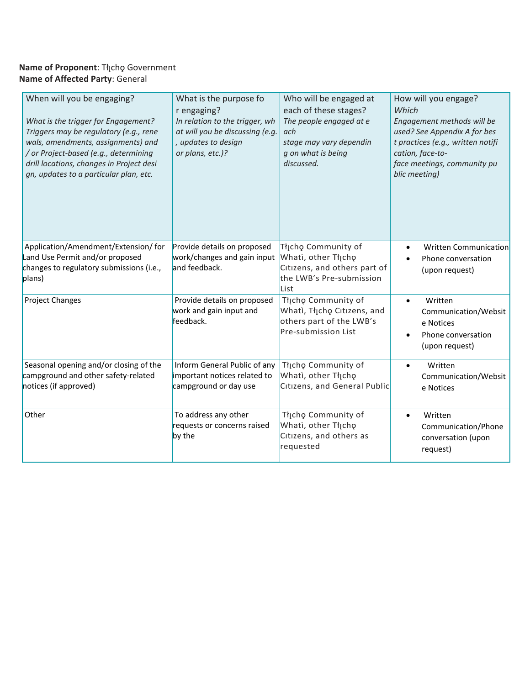#### **Name of Proponent**: Tłıch̨ ǫ Government **Name of Affected Party**: General

| When will you be engaging?<br>What is the trigger for Engagement?<br>Triggers may be regulatory (e.g., rene<br>wals, amendments, assignments) and<br>/ or Project-based (e.g., determining<br>drill locations, changes in Project desi<br>gn, updates to a particular plan, etc. | What is the purpose fo<br>r engaging?<br>In relation to the trigger, wh<br>at will you be discussing (e.g.<br>, updates to design<br>or plans, etc.)? | Who will be engaged at<br>each of these stages?<br>The people engaged at e<br>ach<br>stage may vary dependin<br>g on what is being<br>discussed. | How will you engage?<br>Which<br>Engagement methods will be<br>used? See Appendix A for bes<br>t practices (e.g., written notifi<br>cation, face-to-<br>face meetings, community pu<br>blic meeting) |  |
|----------------------------------------------------------------------------------------------------------------------------------------------------------------------------------------------------------------------------------------------------------------------------------|-------------------------------------------------------------------------------------------------------------------------------------------------------|--------------------------------------------------------------------------------------------------------------------------------------------------|------------------------------------------------------------------------------------------------------------------------------------------------------------------------------------------------------|--|
| Application/Amendment/Extension/ for<br>Land Use Permit and/or proposed<br>changes to regulatory submissions (i.e.,<br>plans)                                                                                                                                                    | Provide details on proposed<br>work/changes and gain input<br>and feedback.                                                                           | Tłįcho Community of<br>Whati, other Tłįcho<br>Citizens, and others part of<br>the LWB's Pre-submission<br>List                                   | <b>Written Communication</b><br>$\bullet$<br>Phone conversation<br>(upon request)                                                                                                                    |  |
| <b>Project Changes</b>                                                                                                                                                                                                                                                           | Provide details on proposed<br>work and gain input and<br>feedback.                                                                                   |                                                                                                                                                  | Written<br>$\bullet$<br>Communication/Websit<br>e Notices<br>Phone conversation<br>(upon request)                                                                                                    |  |
| Seasonal opening and/or closing of the<br>campground and other safety-related<br>notices (if approved)                                                                                                                                                                           | Inform General Public of any<br>important notices related to<br>campground or day use                                                                 | Tłįcho Community of<br>Whati, other Thicho<br>Citizens, and General Public                                                                       | Written<br>Communication/Websit<br>e Notices                                                                                                                                                         |  |
| To address any other<br>Other<br>requests or concerns raised<br>by the                                                                                                                                                                                                           |                                                                                                                                                       | Tłįcho Community of<br>Whati, other Tłįcho<br>Citizens, and others as<br>requested                                                               | Written<br>$\bullet$<br>Communication/Phone<br>conversation (upon<br>request)                                                                                                                        |  |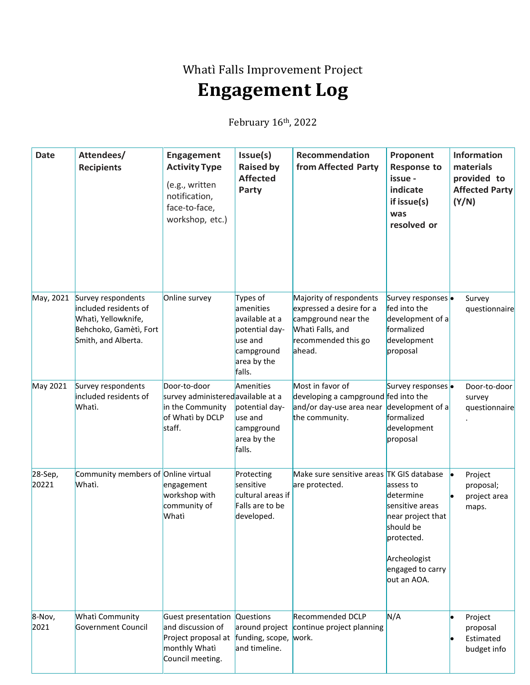Whatì Falls Improvement Project

## **Engagement Log**

February 16th, 2022

| <b>Date</b>      | Attendees/<br><b>Recipients</b>                                                                                     | Engagement<br><b>Activity Type</b><br>(e.g., written<br>notification,<br>face-to-face,<br>workshop, etc.)     | Issue(s)<br><b>Raised by</b><br><b>Affected</b><br>Party                                                    | Recommendation<br>from Affected Party                                                                                           | Proponent<br><b>Response to</b><br>issue -<br>indicate<br>if issue(s)<br>was<br>resolved or                                                  | <b>Information</b><br>materials<br>provided to<br><b>Affected Party</b><br>(Y/N) |
|------------------|---------------------------------------------------------------------------------------------------------------------|---------------------------------------------------------------------------------------------------------------|-------------------------------------------------------------------------------------------------------------|---------------------------------------------------------------------------------------------------------------------------------|----------------------------------------------------------------------------------------------------------------------------------------------|----------------------------------------------------------------------------------|
| May, 2021        | Survey respondents<br>included residents of<br>Whati, Yellowknife,<br>Behchoko, Gamètì, Fort<br>Smith, and Alberta. | Online survey                                                                                                 | Types of<br>amenities<br>available at a<br>potential day-<br>use and<br>campground<br>area by the<br>falls. | Majority of respondents<br>expressed a desire for a<br>campground near the<br>Whati Falls, and<br>recommended this go<br>ahead. | Survey responses .<br>fed into the<br>development of a<br>formalized<br>development<br>proposal                                              | Survey<br>questionnaire                                                          |
| May 2021         | Survey respondents<br>included residents of<br>Whati.                                                               | Door-to-door<br>survey administered available at a<br>in the Community<br>of Whati by DCLP<br>staff.          | Amenities<br>potential day-<br>use and<br>campground<br>area by the<br>falls.                               | Most in favor of<br>developing a campground fed into the<br>and/or day-use area near<br>the community.                          | Survey responses .<br>development of a<br>formalized<br>development<br>proposal                                                              | Door-to-door<br>survey<br>questionnaire                                          |
| 28-Sep,<br>20221 | Community members of Online virtual<br>Whati.                                                                       | engagement<br>workshop with<br>community of<br>Whati                                                          | Protecting<br>sensitive<br>cultural areas if<br>Falls are to be<br>developed.                               | Make sure sensitive areas TK GIS database<br>are protected.                                                                     | assess to<br>determine<br>sensitive areas<br>near project that<br>should be<br>protected.<br>Archeologist<br>engaged to carry<br>out an AOA. | Project<br>proposal;<br>project area<br>maps.                                    |
| 8-Nov,<br>2021   | Whati Community<br>Government Council                                                                               | Guest presentation Questions<br>and discussion of<br>Project proposal at<br>monthly Whati<br>Council meeting. | around project<br>funding, scope,<br>and timeline.                                                          | <b>Recommended DCLP</b><br>continue project planning<br>work.                                                                   | N/A                                                                                                                                          | Project<br>proposal<br>Estimated<br>budget info                                  |